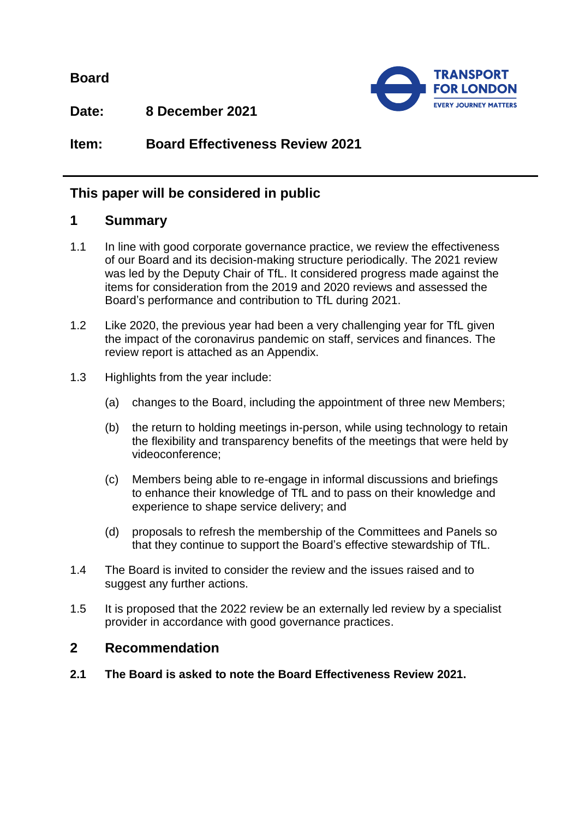**Board**



**Date: 8 December 2021**

**Item: Board Effectiveness Review 2021**

# **This paper will be considered in public**

## **1 Summary**

- 1.1 In line with good corporate governance practice, we review the effectiveness of our Board and its decision-making structure periodically. The 2021 review was led by the Deputy Chair of TfL. It considered progress made against the items for consideration from the 2019 and 2020 reviews and assessed the Board's performance and contribution to TfL during 2021.
- 1.2 Like 2020, the previous year had been a very challenging year for TfL given the impact of the coronavirus pandemic on staff, services and finances. The review report is attached as an Appendix.
- 1.3 Highlights from the year include:
	- (a) changes to the Board, including the appointment of three new Members;
	- (b) the return to holding meetings in-person, while using technology to retain the flexibility and transparency benefits of the meetings that were held by videoconference;
	- (c) Members being able to re-engage in informal discussions and briefings to enhance their knowledge of TfL and to pass on their knowledge and experience to shape service delivery; and
	- (d) proposals to refresh the membership of the Committees and Panels so that they continue to support the Board's effective stewardship of TfL.
- 1.4 The Board is invited to consider the review and the issues raised and to suggest any further actions.
- 1.5 It is proposed that the 2022 review be an externally led review by a specialist provider in accordance with good governance practices.

## **2 Recommendation**

**2.1 The Board is asked to note the Board Effectiveness Review 2021.**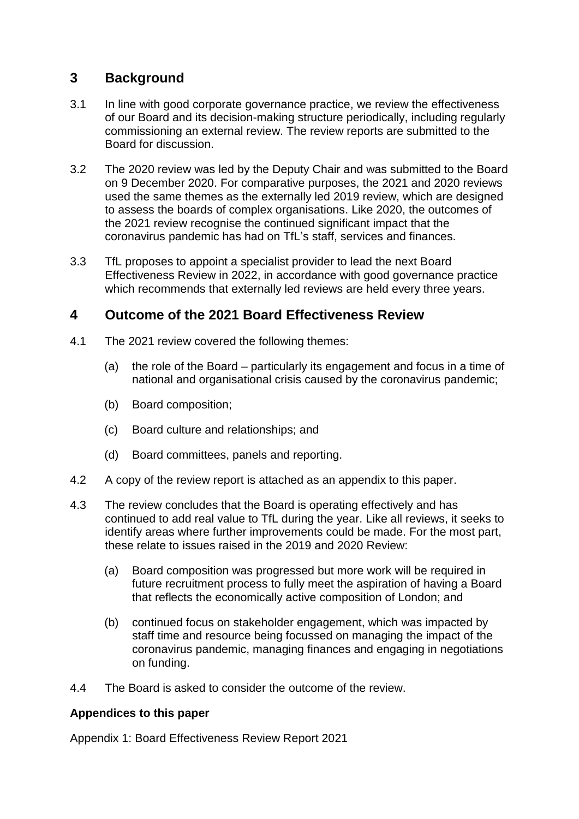# **3 Background**

- 3.1 In line with good corporate governance practice, we review the effectiveness of our Board and its decision-making structure periodically, including regularly commissioning an external review. The review reports are submitted to the Board for discussion.
- 3.2 The 2020 review was led by the Deputy Chair and was submitted to the Board on 9 December 2020. For comparative purposes, the 2021 and 2020 reviews used the same themes as the externally led 2019 review, which are designed to assess the boards of complex organisations. Like 2020, the outcomes of the 2021 review recognise the continued significant impact that the coronavirus pandemic has had on TfL's staff, services and finances.
- 3.3 TfL proposes to appoint a specialist provider to lead the next Board Effectiveness Review in 2022, in accordance with good governance practice which recommends that externally led reviews are held every three years.

# **4 Outcome of the 2021 Board Effectiveness Review**

- 4.1 The 2021 review covered the following themes:
	- (a) the role of the Board particularly its engagement and focus in a time of national and organisational crisis caused by the coronavirus pandemic;
	- (b) Board composition;
	- (c) Board culture and relationships; and
	- (d) Board committees, panels and reporting.
- 4.2 A copy of the review report is attached as an appendix to this paper.
- 4.3 The review concludes that the Board is operating effectively and has continued to add real value to TfL during the year. Like all reviews, it seeks to identify areas where further improvements could be made. For the most part, these relate to issues raised in the 2019 and 2020 Review:
	- (a) Board composition was progressed but more work will be required in future recruitment process to fully meet the aspiration of having a Board that reflects the economically active composition of London; and
	- (b) continued focus on stakeholder engagement, which was impacted by staff time and resource being focussed on managing the impact of the coronavirus pandemic, managing finances and engaging in negotiations on funding.
- 4.4 The Board is asked to consider the outcome of the review.

### **Appendices to this paper**

Appendix 1: Board Effectiveness Review Report 2021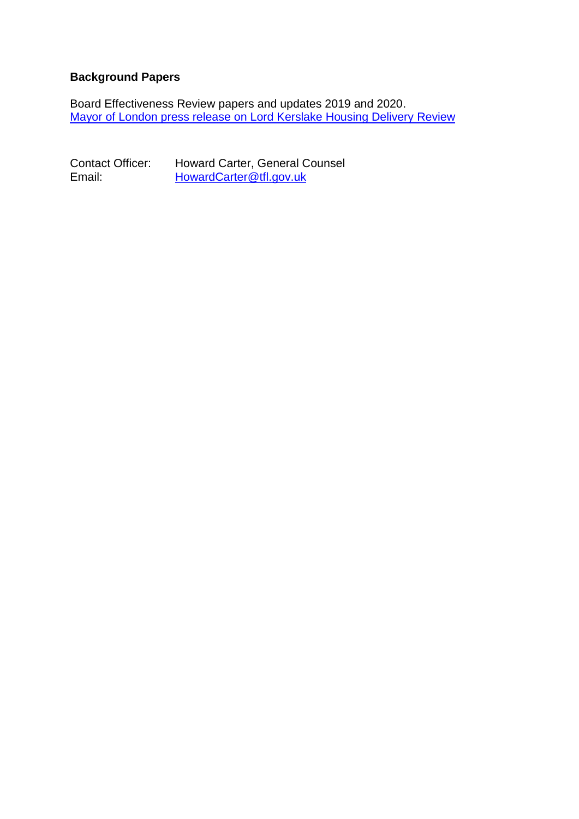### **Background Papers**

Board Effectiveness Review papers and updates 2019 and 2020. [Mayor of London press release on Lord Kerslake Housing Delivery Review](https://www.london.gov.uk/press-releases/mayoral/lord-kerslake-launches-housing-delivery-review)

Contact Officer: Howard Carter, General Counsel<br>Email: HowardCarter@tfl.gov.uk [HowardCarter@tfl.gov.uk](mailto:HowardCarter@tfl.gov.uk)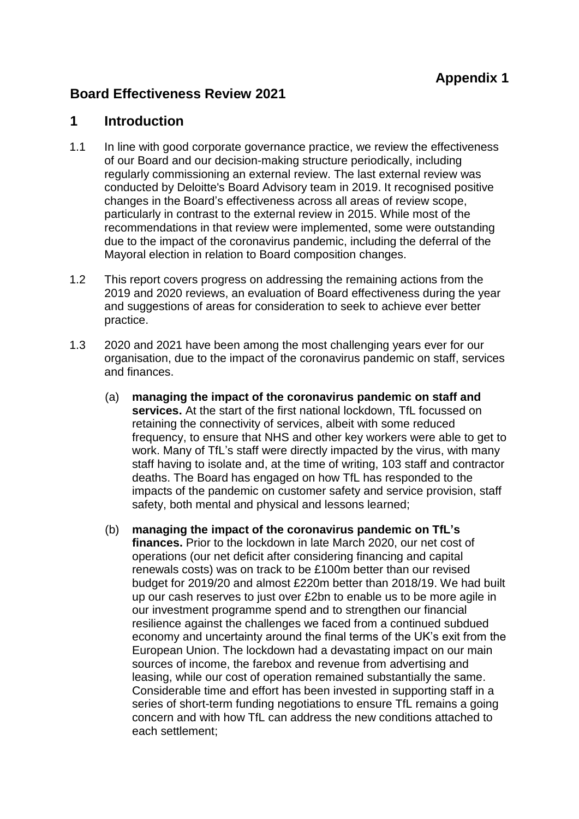# **Board Effectiveness Review 2021**

## **1 Introduction**

- 1.1 In line with good corporate governance practice, we review the effectiveness of our Board and our decision-making structure periodically, including regularly commissioning an external review. The last external review was conducted by Deloitte's Board Advisory team in 2019. It recognised positive changes in the Board's effectiveness across all areas of review scope, particularly in contrast to the external review in 2015. While most of the recommendations in that review were implemented, some were outstanding due to the impact of the coronavirus pandemic, including the deferral of the Mayoral election in relation to Board composition changes.
- 1.2 This report covers progress on addressing the remaining actions from the 2019 and 2020 reviews, an evaluation of Board effectiveness during the year and suggestions of areas for consideration to seek to achieve ever better practice.
- 1.3 2020 and 2021 have been among the most challenging years ever for our organisation, due to the impact of the coronavirus pandemic on staff, services and finances.
	- (a) **managing the impact of the coronavirus pandemic on staff and services.** At the start of the first national lockdown, TfL focussed on retaining the connectivity of services, albeit with some reduced frequency, to ensure that NHS and other key workers were able to get to work. Many of TfL's staff were directly impacted by the virus, with many staff having to isolate and, at the time of writing, 103 staff and contractor deaths. The Board has engaged on how TfL has responded to the impacts of the pandemic on customer safety and service provision, staff safety, both mental and physical and lessons learned;
	- (b) **managing the impact of the coronavirus pandemic on TfL's finances.** Prior to the lockdown in late March 2020, our net cost of operations (our net deficit after considering financing and capital renewals costs) was on track to be £100m better than our revised budget for 2019/20 and almost £220m better than 2018/19. We had built up our cash reserves to just over £2bn to enable us to be more agile in our investment programme spend and to strengthen our financial resilience against the challenges we faced from a continued subdued economy and uncertainty around the final terms of the UK's exit from the European Union. The lockdown had a devastating impact on our main sources of income, the farebox and revenue from advertising and leasing, while our cost of operation remained substantially the same. Considerable time and effort has been invested in supporting staff in a series of short-term funding negotiations to ensure TfL remains a going concern and with how TfL can address the new conditions attached to each settlement;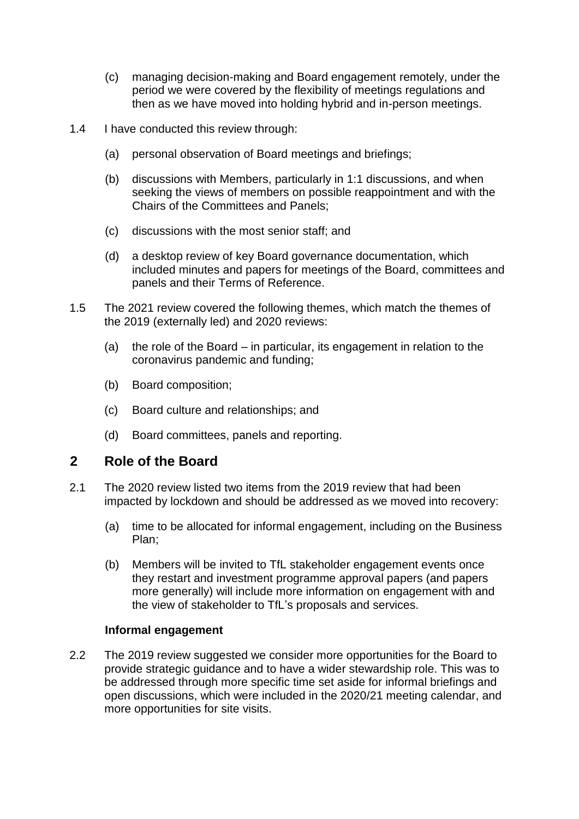- (c) managing decision-making and Board engagement remotely, under the period we were covered by the flexibility of meetings regulations and then as we have moved into holding hybrid and in-person meetings.
- 1.4 I have conducted this review through:
	- (a) personal observation of Board meetings and briefings;
	- (b) discussions with Members, particularly in 1:1 discussions, and when seeking the views of members on possible reappointment and with the Chairs of the Committees and Panels;
	- (c) discussions with the most senior staff; and
	- (d) a desktop review of key Board governance documentation, which included minutes and papers for meetings of the Board, committees and panels and their Terms of Reference.
- 1.5 The 2021 review covered the following themes, which match the themes of the 2019 (externally led) and 2020 reviews:
	- (a) the role of the Board in particular, its engagement in relation to the coronavirus pandemic and funding;
	- (b) Board composition;
	- (c) Board culture and relationships; and
	- (d) Board committees, panels and reporting.

### **2 Role of the Board**

- 2.1 The 2020 review listed two items from the 2019 review that had been impacted by lockdown and should be addressed as we moved into recovery:
	- (a) time to be allocated for informal engagement, including on the Business Plan;
	- (b) Members will be invited to TfL stakeholder engagement events once they restart and investment programme approval papers (and papers more generally) will include more information on engagement with and the view of stakeholder to TfL's proposals and services.

#### **Informal engagement**

2.2 The 2019 review suggested we consider more opportunities for the Board to provide strategic guidance and to have a wider stewardship role. This was to be addressed through more specific time set aside for informal briefings and open discussions, which were included in the 2020/21 meeting calendar, and more opportunities for site visits.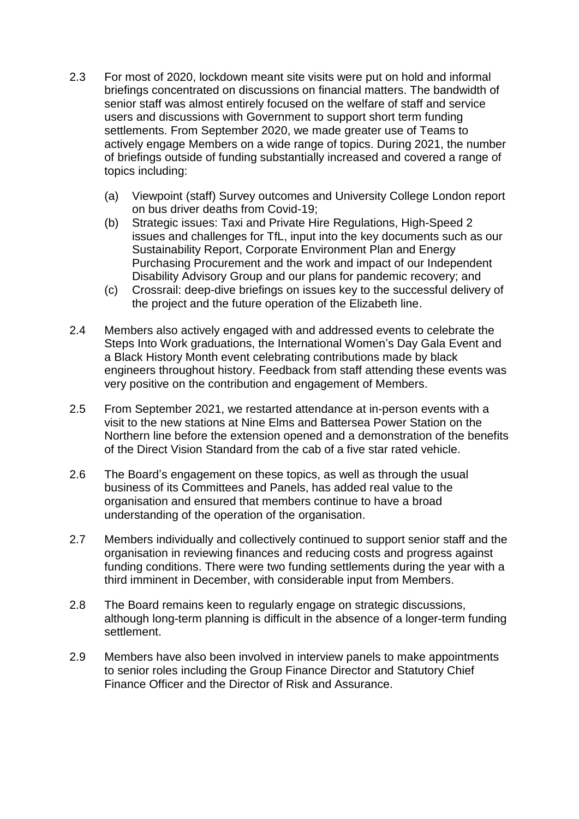- 2.3 For most of 2020, lockdown meant site visits were put on hold and informal briefings concentrated on discussions on financial matters. The bandwidth of senior staff was almost entirely focused on the welfare of staff and service users and discussions with Government to support short term funding settlements. From September 2020, we made greater use of Teams to actively engage Members on a wide range of topics. During 2021, the number of briefings outside of funding substantially increased and covered a range of topics including:
	- (a) Viewpoint (staff) Survey outcomes and University College London report on bus driver deaths from Covid-19;
	- (b) Strategic issues: Taxi and Private Hire Regulations, High-Speed 2 issues and challenges for TfL, input into the key documents such as our Sustainability Report, Corporate Environment Plan and Energy Purchasing Procurement and the work and impact of our Independent Disability Advisory Group and our plans for pandemic recovery; and
	- (c) Crossrail: deep-dive briefings on issues key to the successful delivery of the project and the future operation of the Elizabeth line.
- 2.4 Members also actively engaged with and addressed events to celebrate the Steps Into Work graduations, the International Women's Day Gala Event and a Black History Month event celebrating contributions made by black engineers throughout history. Feedback from staff attending these events was very positive on the contribution and engagement of Members.
- 2.5 From September 2021, we restarted attendance at in-person events with a visit to the new stations at Nine Elms and Battersea Power Station on the Northern line before the extension opened and a demonstration of the benefits of the Direct Vision Standard from the cab of a five star rated vehicle.
- 2.6 The Board's engagement on these topics, as well as through the usual business of its Committees and Panels, has added real value to the organisation and ensured that members continue to have a broad understanding of the operation of the organisation.
- 2.7 Members individually and collectively continued to support senior staff and the organisation in reviewing finances and reducing costs and progress against funding conditions. There were two funding settlements during the year with a third imminent in December, with considerable input from Members.
- 2.8 The Board remains keen to regularly engage on strategic discussions, although long-term planning is difficult in the absence of a longer-term funding settlement.
- 2.9 Members have also been involved in interview panels to make appointments to senior roles including the Group Finance Director and Statutory Chief Finance Officer and the Director of Risk and Assurance.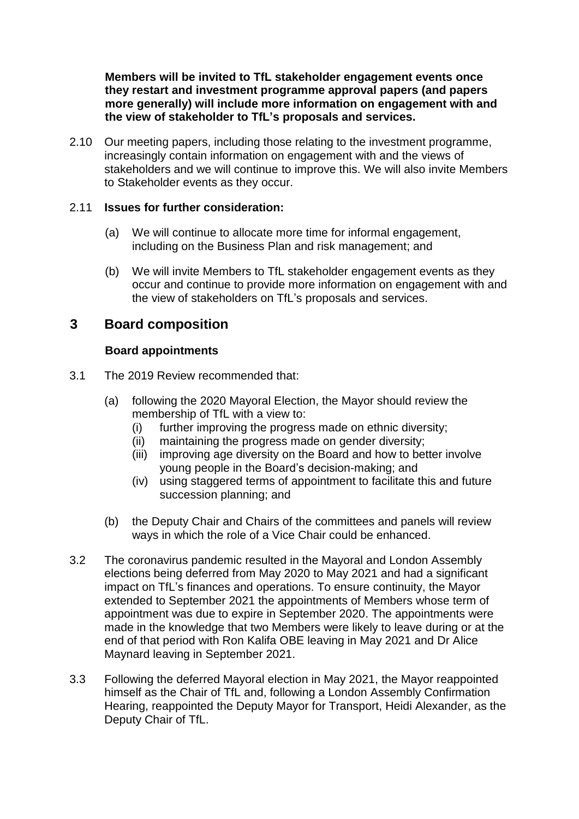**Members will be invited to TfL stakeholder engagement events once they restart and investment programme approval papers (and papers more generally) will include more information on engagement with and the view of stakeholder to TfL's proposals and services.**

2.10 Our meeting papers, including those relating to the investment programme, increasingly contain information on engagement with and the views of stakeholders and we will continue to improve this. We will also invite Members to Stakeholder events as they occur.

#### 2.11 **Issues for further consideration:**

- (a) We will continue to allocate more time for informal engagement, including on the Business Plan and risk management; and
- (b) We will invite Members to TfL stakeholder engagement events as they occur and continue to provide more information on engagement with and the view of stakeholders on TfL's proposals and services.

## **3 Board composition**

#### **Board appointments**

- 3.1 The 2019 Review recommended that:
	- (a) following the 2020 Mayoral Election, the Mayor should review the membership of TfL with a view to:
		- (i) further improving the progress made on ethnic diversity;
		- (ii) maintaining the progress made on gender diversity;
		- (iii) improving age diversity on the Board and how to better involve young people in the Board's decision-making; and
		- (iv) using staggered terms of appointment to facilitate this and future succession planning; and
	- (b) the Deputy Chair and Chairs of the committees and panels will review ways in which the role of a Vice Chair could be enhanced.
- 3.2 The coronavirus pandemic resulted in the Mayoral and London Assembly elections being deferred from May 2020 to May 2021 and had a significant impact on TfL's finances and operations. To ensure continuity, the Mayor extended to September 2021 the appointments of Members whose term of appointment was due to expire in September 2020. The appointments were made in the knowledge that two Members were likely to leave during or at the end of that period with Ron Kalifa OBE leaving in May 2021 and Dr Alice Maynard leaving in September 2021.
- 3.3 Following the deferred Mayoral election in May 2021, the Mayor reappointed himself as the Chair of TfL and, following a London Assembly Confirmation Hearing, reappointed the Deputy Mayor for Transport, Heidi Alexander, as the Deputy Chair of TfL.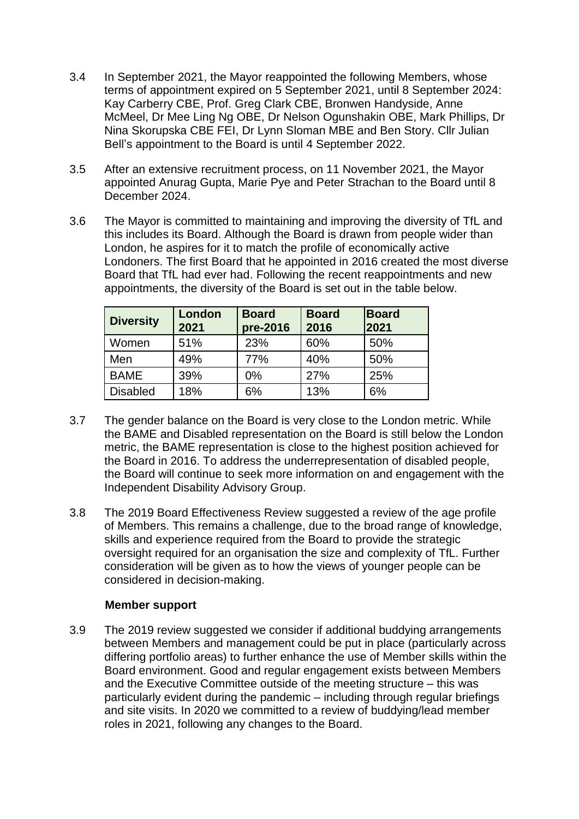- 3.4 In September 2021, the Mayor reappointed the following Members, whose terms of appointment expired on 5 September 2021, until 8 September 2024: Kay Carberry CBE, Prof. Greg Clark CBE, Bronwen Handyside, Anne McMeel, Dr Mee Ling Ng OBE, Dr Nelson Ogunshakin OBE, Mark Phillips, Dr Nina Skorupska CBE FEI, Dr Lynn Sloman MBE and Ben Story. Cllr Julian Bell's appointment to the Board is until 4 September 2022.
- 3.5 After an extensive recruitment process, on 11 November 2021, the Mayor appointed Anurag Gupta, Marie Pye and Peter Strachan to the Board until 8 December 2024.
- 3.6 The Mayor is committed to maintaining and improving the diversity of TfL and this includes its Board. Although the Board is drawn from people wider than London, he aspires for it to match the profile of economically active Londoners. The first Board that he appointed in 2016 created the most diverse Board that TfL had ever had. Following the recent reappointments and new appointments, the diversity of the Board is set out in the table below.

| <b>Diversity</b> | London<br>2021 | <b>Board</b><br>pre-2016 | <b>Board</b><br>2016 | <b>Board</b><br>2021 |
|------------------|----------------|--------------------------|----------------------|----------------------|
| Women            | 51%            | 23%                      | 60%                  | 50%                  |
| Men              | 49%            | 77%                      | 40%                  | 50%                  |
| <b>BAME</b>      | 39%            | $0\%$                    | 27%                  | 25%                  |
| <b>Disabled</b>  | 18%            | 6%                       | 13%                  | 6%                   |

- 3.7 The gender balance on the Board is very close to the London metric. While the BAME and Disabled representation on the Board is still below the London metric, the BAME representation is close to the highest position achieved for the Board in 2016. To address the underrepresentation of disabled people, the Board will continue to seek more information on and engagement with the Independent Disability Advisory Group.
- 3.8 The 2019 Board Effectiveness Review suggested a review of the age profile of Members. This remains a challenge, due to the broad range of knowledge, skills and experience required from the Board to provide the strategic oversight required for an organisation the size and complexity of TfL. Further consideration will be given as to how the views of younger people can be considered in decision-making.

#### **Member support**

3.9 The 2019 review suggested we consider if additional buddying arrangements between Members and management could be put in place (particularly across differing portfolio areas) to further enhance the use of Member skills within the Board environment. Good and regular engagement exists between Members and the Executive Committee outside of the meeting structure – this was particularly evident during the pandemic – including through regular briefings and site visits. In 2020 we committed to a review of buddying/lead member roles in 2021, following any changes to the Board.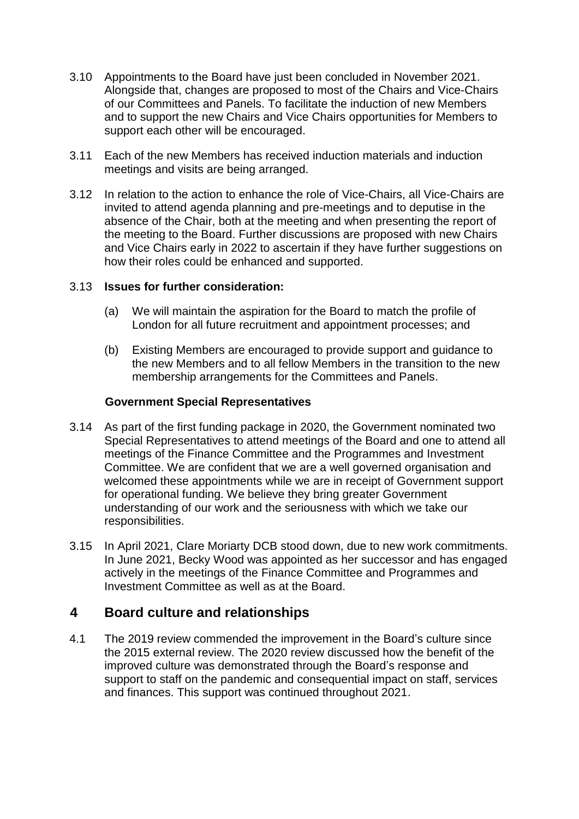- 3.10 Appointments to the Board have just been concluded in November 2021. Alongside that, changes are proposed to most of the Chairs and Vice-Chairs of our Committees and Panels. To facilitate the induction of new Members and to support the new Chairs and Vice Chairs opportunities for Members to support each other will be encouraged.
- 3.11 Each of the new Members has received induction materials and induction meetings and visits are being arranged.
- 3.12 In relation to the action to enhance the role of Vice-Chairs, all Vice-Chairs are invited to attend agenda planning and pre-meetings and to deputise in the absence of the Chair, both at the meeting and when presenting the report of the meeting to the Board. Further discussions are proposed with new Chairs and Vice Chairs early in 2022 to ascertain if they have further suggestions on how their roles could be enhanced and supported.

#### 3.13 **Issues for further consideration:**

- (a) We will maintain the aspiration for the Board to match the profile of London for all future recruitment and appointment processes; and
- (b) Existing Members are encouraged to provide support and guidance to the new Members and to all fellow Members in the transition to the new membership arrangements for the Committees and Panels.

#### **Government Special Representatives**

- 3.14 As part of the first funding package in 2020, the Government nominated two Special Representatives to attend meetings of the Board and one to attend all meetings of the Finance Committee and the Programmes and Investment Committee. We are confident that we are a well governed organisation and welcomed these appointments while we are in receipt of Government support for operational funding. We believe they bring greater Government understanding of our work and the seriousness with which we take our responsibilities.
- 3.15 In April 2021, Clare Moriarty DCB stood down, due to new work commitments. In June 2021, Becky Wood was appointed as her successor and has engaged actively in the meetings of the Finance Committee and Programmes and Investment Committee as well as at the Board.

## **4 Board culture and relationships**

4.1 The 2019 review commended the improvement in the Board's culture since the 2015 external review. The 2020 review discussed how the benefit of the improved culture was demonstrated through the Board's response and support to staff on the pandemic and consequential impact on staff, services and finances. This support was continued throughout 2021.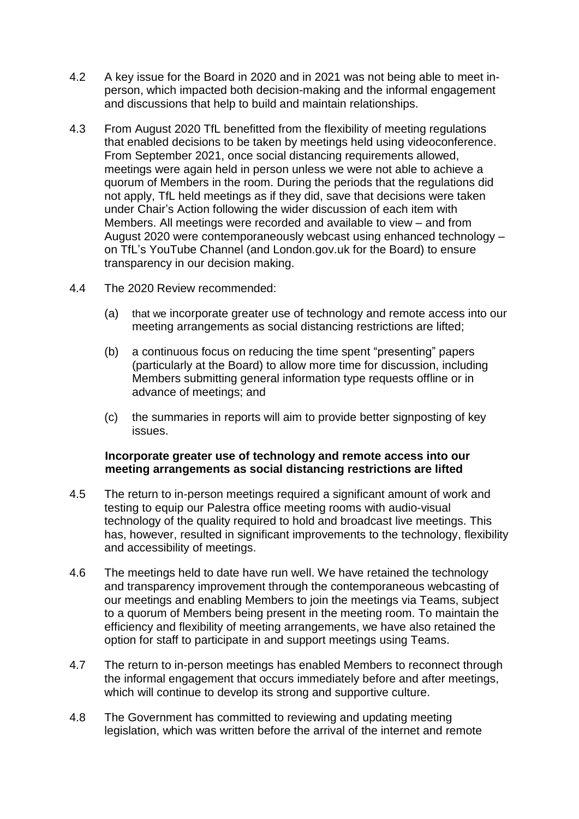- 4.2 A key issue for the Board in 2020 and in 2021 was not being able to meet inperson, which impacted both decision-making and the informal engagement and discussions that help to build and maintain relationships.
- 4.3 From August 2020 TfL benefitted from the flexibility of meeting regulations that enabled decisions to be taken by meetings held using videoconference. From September 2021, once social distancing requirements allowed, meetings were again held in person unless we were not able to achieve a quorum of Members in the room. During the periods that the regulations did not apply, TfL held meetings as if they did, save that decisions were taken under Chair's Action following the wider discussion of each item with Members. All meetings were recorded and available to view – and from August 2020 were contemporaneously webcast using enhanced technology – on TfL's YouTube Channel (and London.gov.uk for the Board) to ensure transparency in our decision making.
- 4.4 The 2020 Review recommended:
	- (a) that we incorporate greater use of technology and remote access into our meeting arrangements as social distancing restrictions are lifted;
	- (b) a continuous focus on reducing the time spent "presenting" papers (particularly at the Board) to allow more time for discussion, including Members submitting general information type requests offline or in advance of meetings; and
	- (c) the summaries in reports will aim to provide better signposting of key issues.

#### **Incorporate greater use of technology and remote access into our meeting arrangements as social distancing restrictions are lifted**

- 4.5 The return to in-person meetings required a significant amount of work and testing to equip our Palestra office meeting rooms with audio-visual technology of the quality required to hold and broadcast live meetings. This has, however, resulted in significant improvements to the technology, flexibility and accessibility of meetings.
- 4.6 The meetings held to date have run well. We have retained the technology and transparency improvement through the contemporaneous webcasting of our meetings and enabling Members to join the meetings via Teams, subject to a quorum of Members being present in the meeting room. To maintain the efficiency and flexibility of meeting arrangements, we have also retained the option for staff to participate in and support meetings using Teams.
- 4.7 The return to in-person meetings has enabled Members to reconnect through the informal engagement that occurs immediately before and after meetings, which will continue to develop its strong and supportive culture.
- 4.8 The Government has committed to reviewing and updating meeting legislation, which was written before the arrival of the internet and remote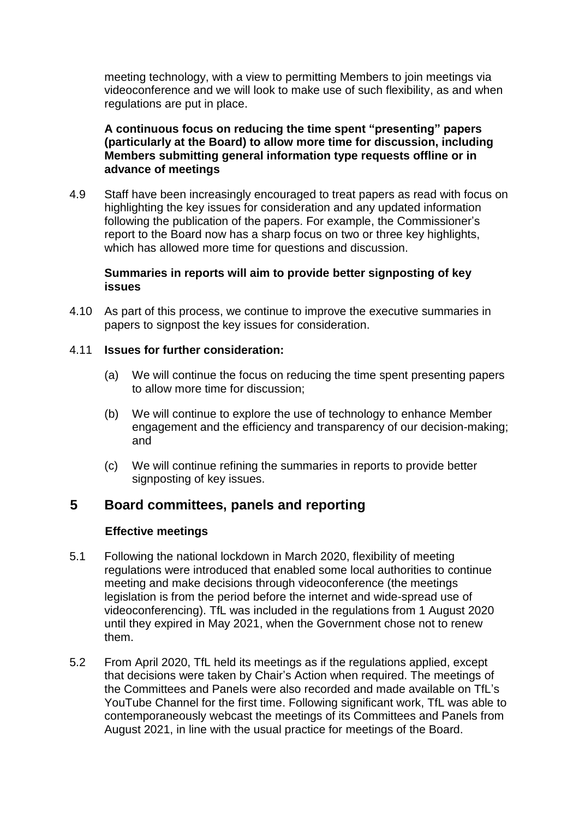meeting technology, with a view to permitting Members to join meetings via videoconference and we will look to make use of such flexibility, as and when regulations are put in place.

#### **A continuous focus on reducing the time spent "presenting" papers (particularly at the Board) to allow more time for discussion, including Members submitting general information type requests offline or in advance of meetings**

4.9 Staff have been increasingly encouraged to treat papers as read with focus on highlighting the key issues for consideration and any updated information following the publication of the papers. For example, the Commissioner's report to the Board now has a sharp focus on two or three key highlights, which has allowed more time for questions and discussion.

#### **Summaries in reports will aim to provide better signposting of key issues**

4.10 As part of this process, we continue to improve the executive summaries in papers to signpost the key issues for consideration.

#### 4.11 **Issues for further consideration:**

- (a) We will continue the focus on reducing the time spent presenting papers to allow more time for discussion;
- (b) We will continue to explore the use of technology to enhance Member engagement and the efficiency and transparency of our decision-making; and
- (c) We will continue refining the summaries in reports to provide better signposting of key issues.

### **5 Board committees, panels and reporting**

#### **Effective meetings**

- 5.1 Following the national lockdown in March 2020, flexibility of meeting regulations were introduced that enabled some local authorities to continue meeting and make decisions through videoconference (the meetings legislation is from the period before the internet and wide-spread use of videoconferencing). TfL was included in the regulations from 1 August 2020 until they expired in May 2021, when the Government chose not to renew them.
- 5.2 From April 2020, TfL held its meetings as if the regulations applied, except that decisions were taken by Chair's Action when required. The meetings of the Committees and Panels were also recorded and made available on TfL's YouTube Channel for the first time. Following significant work, TfL was able to contemporaneously webcast the meetings of its Committees and Panels from August 2021, in line with the usual practice for meetings of the Board.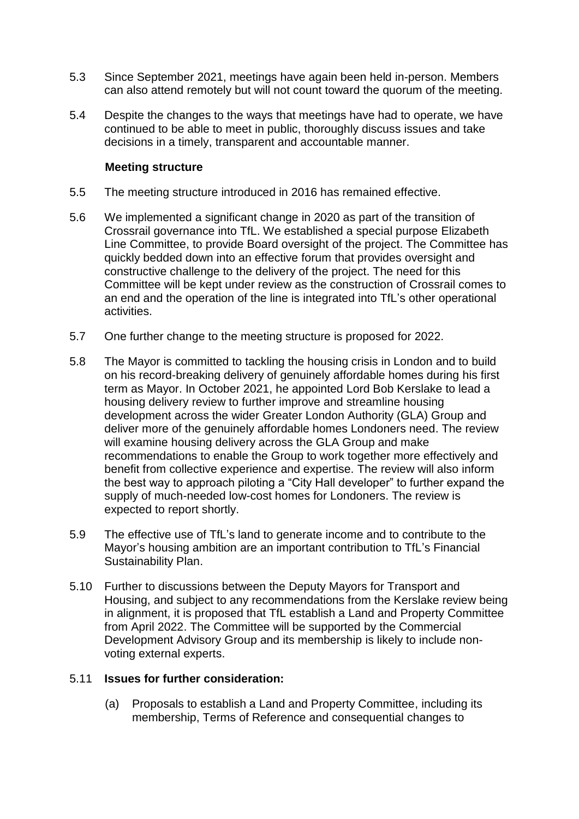- 5.3 Since September 2021, meetings have again been held in-person. Members can also attend remotely but will not count toward the quorum of the meeting.
- 5.4 Despite the changes to the ways that meetings have had to operate, we have continued to be able to meet in public, thoroughly discuss issues and take decisions in a timely, transparent and accountable manner.

#### **Meeting structure**

- 5.5 The meeting structure introduced in 2016 has remained effective.
- 5.6 We implemented a significant change in 2020 as part of the transition of Crossrail governance into TfL. We established a special purpose Elizabeth Line Committee, to provide Board oversight of the project. The Committee has quickly bedded down into an effective forum that provides oversight and constructive challenge to the delivery of the project. The need for this Committee will be kept under review as the construction of Crossrail comes to an end and the operation of the line is integrated into TfL's other operational activities.
- 5.7 One further change to the meeting structure is proposed for 2022.
- 5.8 The Mayor is committed to tackling the housing crisis in London and to build on his record-breaking delivery of genuinely affordable homes during his first term as Mayor. In October 2021, he appointed Lord Bob Kerslake to lead a housing delivery review to further improve and streamline housing development across the wider Greater London Authority (GLA) Group and deliver more of the genuinely affordable homes Londoners need. The review will examine housing delivery across the GLA Group and make recommendations to enable the Group to work together more effectively and benefit from collective experience and expertise. The review will also inform the best way to approach piloting a "City Hall developer" to further expand the supply of much-needed low-cost homes for Londoners. The review is expected to report shortly.
- 5.9 The effective use of TfL's land to generate income and to contribute to the Mayor's housing ambition are an important contribution to TfL's Financial Sustainability Plan.
- 5.10 Further to discussions between the Deputy Mayors for Transport and Housing, and subject to any recommendations from the Kerslake review being in alignment, it is proposed that TfL establish a Land and Property Committee from April 2022. The Committee will be supported by the Commercial Development Advisory Group and its membership is likely to include nonvoting external experts.

#### 5.11 **Issues for further consideration:**

(a) Proposals to establish a Land and Property Committee, including its membership, Terms of Reference and consequential changes to